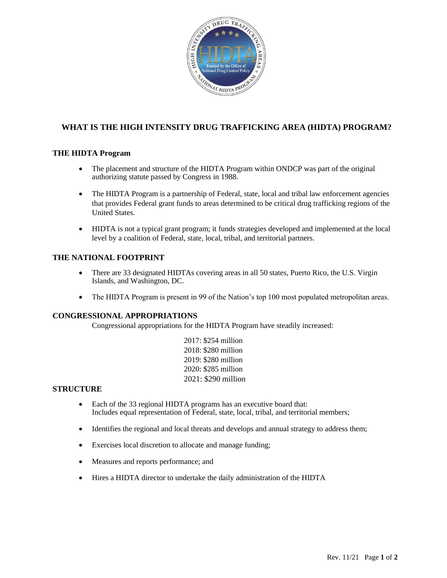

# **WHAT IS THE HIGH INTENSITY DRUG TRAFFICKING AREA (HIDTA) PROGRAM?**

### **THE HIDTA Program**

- The placement and structure of the HIDTA Program within ONDCP was part of the original authorizing statute passed by Congress in 1988.
- The HIDTA Program is a partnership of Federal, state, local and tribal law enforcement agencies that provides Federal grant funds to areas determined to be critical drug trafficking regions of the United States.
- HIDTA is not a typical grant program; it funds strategies developed and implemented at the local level by a coalition of Federal, state, local, tribal, and territorial partners.

## **THE NATIONAL FOOTPRINT**

- There are 33 designated HIDTAs covering areas in all 50 states, Puerto Rico, the U.S. Virgin Islands, and Washington, DC.
- The HIDTA Program is present in 99 of the Nation's top 100 most populated metropolitan areas.

### **CONGRESSIONAL APPROPRIATIONS**

Congressional appropriations for the HIDTA Program have steadily increased:

2017: \$254 million 2018: \$280 million 2019: \$280 million 2020: \$285 million 2021: \$290 million

### **STRUCTURE**

- Each of the 33 regional HIDTA programs has an executive board that: Includes equal representation of Federal, state, local, tribal, and territorial members;
- Identifies the regional and local threats and develops and annual strategy to address them;
- Exercises local discretion to allocate and manage funding;
- Measures and reports performance; and
- Hires a HIDTA director to undertake the daily administration of the HIDTA